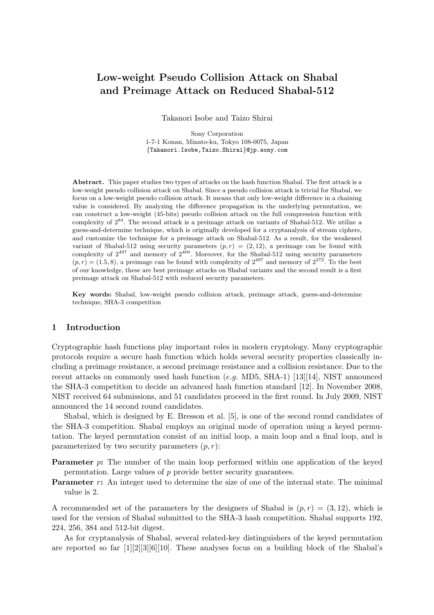# **Low-weight Pseudo Collision Attack on Shabal and Preimage Attack on Reduced Shabal-512**

Takanori Isobe and Taizo Shirai

Sony Corporation 1-7-1 Konan, Minato-ku, Tokyo 108-0075, Japan *{*Takanori.Isobe,Taizo.Shirai*}*@jp.sony.com

**Abstract.** This paper studies two types of attacks on the hash function Shabal. The first attack is a low-weight pseudo collision attack on Shabal. Since a pseudo collision attack is trivial for Shabal, we focus on a low-weight pseudo collision attack. It means that only low-weight difference in a chaining value is considered. By analyzing the difference propagation in the underlying permutation, we can construct a low-weight (45-bits) pseudo collision attack on the full compression function with complexity of 2<sup>84</sup>. The second attack is a preimage attack on variants of Shabal-512. We utilize a guess-and-determine technique, which is originally developed for a cryptanalysis of stream ciphers, and customize the technique for a preimage attack on Shabal-512. As a result, for the weakened variant of Shabal-512 using security parameters  $(p, r) = (2, 12)$ , a preimage can be found with complexity of  $2^{497}$  and memory of  $2^{400}$ . Moreover, for the Shabal-512 using security parameters  $(p, r) = (1.5, 8)$ , a preimage can be found with complexity of  $2^{497}$  and memory of  $2^{272}$ . To the best of our knowledge, these are best preimage attacks on Shabal variants and the second result is a first preimage attack on Shabal-512 with reduced security parameters.

**Key words:** Shabal, low-weight pseudo collision attack, preimage attack, guess-and-determine technique, SHA-3 competition

### **1 Introduction**

Cryptographic hash functions play important roles in modern cryptology. Many cryptographic protocols require a secure hash function which holds several security properties classically including a preimage resistance, a second preimage resistance and a collision resistance. Due to the recent attacks on commonly used hash function (*e.g.* MD5, SHA-1) [13][14], NIST announced the SHA-3 competition to decide an advanced hash function standard [12]. In November 2008, NIST received 64 submissions, and 51 candidates proceed in the first round. In July 2009, NIST announced the 14 second round candidates.

Shabal, which is designed by E. Bresson et al. [5], is one of the second round candidates of the SHA-3 competition. Shabal employs an original mode of operation using a keyed permutation. The keyed permutation consist of an initial loop, a main loop and a final loop, and is parameterized by two security parameters  $(p, r)$ :

**Parameter** *p*: The number of the main loop performed within one application of the keyed permutation. Large values of *p* provide better security guarantees.

**Parameter** *r*: An integer used to determine the size of one of the internal state. The minimal value is 2.

A recommended set of the parameters by the designers of Shabal is  $(p, r) = (3, 12)$ , which is used for the version of Shabal submitted to the SHA-3 hash competition. Shabal supports 192, 224, 256, 384 and 512-bit digest.

As for cryptanalysis of Shabal, several related-key distinguishers of the keyed permutation are reported so far  $[1][2][3][6][10]$ . These analyses focus on a building block of the Shabal's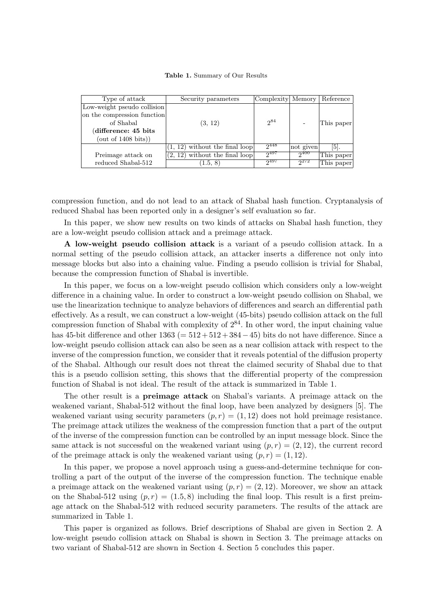**Table 1.** Summary of Our Results

| Type of attack              | Security parameters              | Complexity Memory |           | Reference         |
|-----------------------------|----------------------------------|-------------------|-----------|-------------------|
| Low-weight pseudo collision |                                  |                   |           |                   |
| on the compression function |                                  |                   |           |                   |
| of Shabal                   | (3, 12)                          | $2^{84}$          |           | This paper        |
| (difference: 45 bits)       |                                  |                   |           |                   |
| (out of 1408 bits))         |                                  |                   |           |                   |
|                             | $(1, 12)$ without the final loop | $2^{448}$         | not given | $\vert 5 \vert$ . |
| Preimage attack on          | $(2, 12)$ without the final loop | $2^{497}$         | $2^{400}$ | This paper        |
| reduced Shabal-512          | (1.5, 8)                         | $2^{497}$         | $2^{272}$ | This paper        |
|                             |                                  |                   |           |                   |

compression function, and do not lead to an attack of Shabal hash function. Cryptanalysis of reduced Shabal has been reported only in a designer's self evaluation so far.

In this paper, we show new results on two kinds of attacks on Shabal hash function, they are a low-weight pseudo collision attack and a preimage attack.

**A low-weight pseudo collision attack** is a variant of a pseudo collision attack. In a normal setting of the pseudo collision attack, an attacker inserts a difference not only into message blocks but also into a chaining value. Finding a pseudo collision is trivial for Shabal, because the compression function of Shabal is invertible.

In this paper, we focus on a low-weight pseudo collision which considers only a low-weight difference in a chaining value. In order to construct a low-weight pseudo collision on Shabal, we use the linearization technique to analyze behaviors of differences and search an differential path effectively. As a result, we can construct a low-weight (45-bits) pseudo collision attack on the full compression function of Shabal with complexity of  $2^{84}$ . In other word, the input chaining value has 45-bit difference and other 1363 (= 512 + 512 + 384*−*45) bits do not have difference. Since a low-weight pseudo collision attack can also be seen as a near collision attack with respect to the inverse of the compression function, we consider that it reveals potential of the diffusion property of the Shabal. Although our result does not threat the claimed security of Shabal due to that this is a pseudo collision setting, this shows that the differential property of the compression function of Shabal is not ideal. The result of the attack is summarized in Table 1.

The other result is a **preimage attack** on Shabal's variants. A preimage attack on the weakened variant, Shabal-512 without the final loop, have been analyzed by designers [5]. The weakened variant using security parameters  $(p, r) = (1, 12)$  does not hold preimage resistance. The preimage attack utilizes the weakness of the compression function that a part of the output of the inverse of the compression function can be controlled by an input message block. Since the same attack is not successful on the weakened variant using  $(p, r) = (2, 12)$ , the current record of the preimage attack is only the weakened variant using  $(p, r) = (1, 12)$ .

In this paper, we propose a novel approach using a guess-and-determine technique for controlling a part of the output of the inverse of the compression function. The technique enable a preimage attack on the weakened variant using  $(p, r) = (2, 12)$ . Moreover, we show an attack on the Shabal-512 using  $(p, r) = (1.5, 8)$  including the final loop. This result is a first preimage attack on the Shabal-512 with reduced security parameters. The results of the attack are summarized in Table 1.

This paper is organized as follows. Brief descriptions of Shabal are given in Section 2. A low-weight pseudo collision attack on Shabal is shown in Section 3. The preimage attacks on two variant of Shabal-512 are shown in Section 4. Section 5 concludes this paper.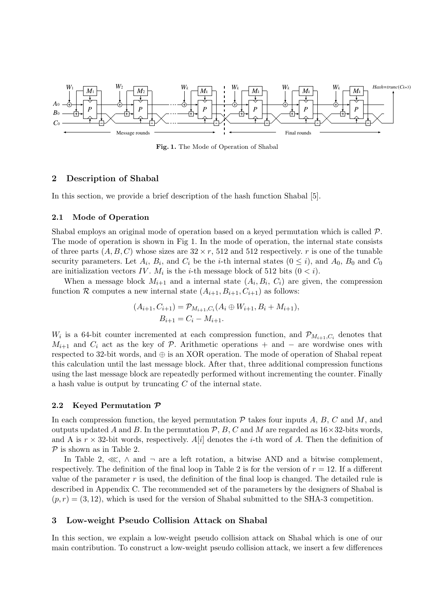

**Fig. 1.** The Mode of Operation of Shabal

## **2 Description of Shabal**

In this section, we provide a brief description of the hash function Shabal [5].

#### **2.1 Mode of Operation**

Shabal employs an original mode of operation based on a keyed permutation which is called *P*. The mode of operation is shown in Fig 1. In the mode of operation, the internal state consists of three parts  $(A, B, C)$  whose sizes are  $32 \times r$ , 512 and 512 respectively. *r* is one of the tunable security parameters. Let  $A_i$ ,  $B_i$ , and  $C_i$  be the *i*-th internal states  $(0 \le i)$ , and  $A_0$ ,  $B_0$  and  $C_0$ are initialization vectors *IV*.  $M_i$  is the *i*-th message block of 512 bits  $(0 < i)$ .

When a message block  $M_{i+1}$  and a internal state  $(A_i, B_i, C_i)$  are given, the compression function *R* computes a new internal state  $(A_{i+1}, B_{i+1}, C_{i+1})$  as follows:

$$
(A_{i+1}, C_{i+1}) = \mathcal{P}_{M_{i+1}, C_i}(A_i \oplus W_{i+1}, B_i + M_{i+1}),
$$
  
\n
$$
B_{i+1} = C_i - M_{i+1}.
$$

*W*<sup>*i*</sup> is a 64-bit counter incremented at each compression function, and  $\mathcal{P}_{M_{i+1},C_i}$  denotes that  $M_{i+1}$  and  $C_i$  act as the key of *P*. Arithmetic operations + and − are wordwise ones with respected to 32-bit words, and *⊕* is an XOR operation. The mode of operation of Shabal repeat this calculation until the last message block. After that, three additional compression functions using the last message block are repeatedly performed without incrementing the counter. Finally a hash value is output by truncating *C* of the internal state.

#### **2.2 Keyed Permutation** *P*

In each compression function, the keyed permutation  $P$  takes four inputs  $A, B, C$  and  $M$ , and outputs updated *A* and *B*. In the permutation  $P$ , *B*, *C* and *M* are regarded as  $16 \times 32$ -bits words, and A is  $r \times 32$ -bit words, respectively. A[*i*] denotes the *i*-th word of A. Then the definition of *P* is shown as in Table 2.

In Table 2, ≪, *∧* and *¬* are a left rotation, a bitwise AND and a bitwise complement, respectively. The definition of the final loop in Table 2 is for the version of  $r = 12$ . If a different value of the parameter *r* is used, the definition of the final loop is changed. The detailed rule is described in Appendix C. The recommended set of the parameters by the designers of Shabal is  $(p, r) = (3, 12)$ , which is used for the version of Shabal submitted to the SHA-3 competition.

### **3 Low-weight Pseudo Collision Attack on Shabal**

In this section, we explain a low-weight pseudo collision attack on Shabal which is one of our main contribution. To construct a low-weight pseudo collision attack, we insert a few differences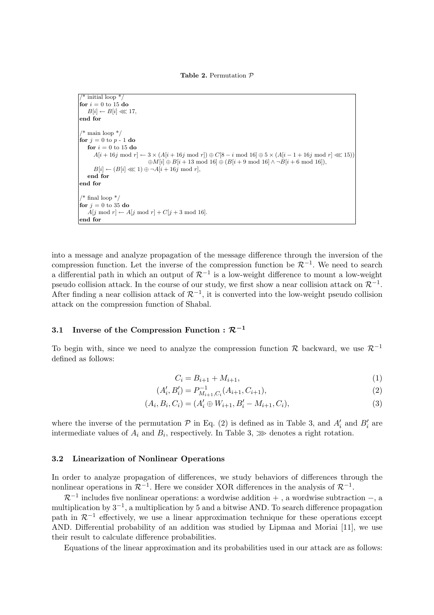**Table 2.** Permutation *P*

```
* initial loop */for i = 0 to 15 do
   B[i] \leftarrow B[i] \ll 17,
end for
/* main loop */for j = 0 to p - 1 do
   for i = 0 to 15 do
      A[i+16j \bmod r] \leftarrow 3 \times (A[i+16j \bmod r]) \oplus C[8-i \bmod 16] \oplus 5 \times (A[i-1+16j \bmod r] \lll 15))\oplus M[i] \oplus B[i + 13 \mod 16] \oplus (B[i + 9 \mod 16] \land \neg B[i + 6 \mod 16]),B[i] \leftarrow (B[i] \lll 1) \oplus \neg A[i+16j \text{ mod } r],end for
end for
 * final loop */for j = 0 to 35 do
  A[i \mod r] \leftarrow A[i \mod r] + C[i+3 \mod 16].end for
```
into a message and analyze propagation of the message difference through the inversion of the compression function. Let the inverse of the compression function be  $\mathcal{R}^{-1}$ . We need to search a differential path in which an output of *<sup>R</sup>−*<sup>1</sup> is a low-weight difference to mount a low-weight pseudo collision attack. In the course of our study, we first show a near collision attack on  $\mathcal{R}^{-1}$ . After finding a near collision attack of *<sup>R</sup>−*<sup>1</sup> , it is converted into the low-weight pseudo collision attack on the compression function of Shabal.

## **3.1** Inverse of the Compression Function :  $\mathcal{R}^{-1}$

To begin with, since we need to analyze the compression function *<sup>R</sup>* backward, we use *<sup>R</sup>−*<sup>1</sup> defined as follows:

$$
C_i = B_{i+1} + M_{i+1},\tag{1}
$$

$$
(A'_i, B'_i) = P_{M_{i+1}, C_i}^{-1}(A_{i+1}, C_{i+1}),
$$
\n(2)

$$
(A_i, B_i, C_i) = (A'_i \oplus W_{i+1}, B'_i - M_{i+1}, C_i),
$$
\n(3)

where the inverse of the permutation  $P$  in Eq. (2) is defined as in Table 3, and  $A_i'$  and  $B_i'$  are intermediate values of  $A_i$  and  $B_i$ , respectively. In Table 3,  $\gg$  denotes a right rotation.

#### **3.2 Linearization of Nonlinear Operations**

In order to analyze propagation of differences, we study behaviors of differences through the nonlinear operations in  $\mathcal{R}^{-1}$ . Here we consider XOR differences in the analysis of  $\mathcal{R}^{-1}$ .

*<sup>R</sup>−*<sup>1</sup> includes five nonlinear operations: a wordwise addition + , a wordwise subtraction *−*, a multiplication by 3*−*<sup>1</sup> , a multiplication by 5 and a bitwise AND. To search difference propagation path in  $\mathcal{R}^{-1}$  effectively, we use a linear approximation technique for these operations except AND. Differential probability of an addition was studied by Lipmaa and Moriai [11], we use their result to calculate difference probabilities.

Equations of the linear approximation and its probabilities used in our attack are as follows: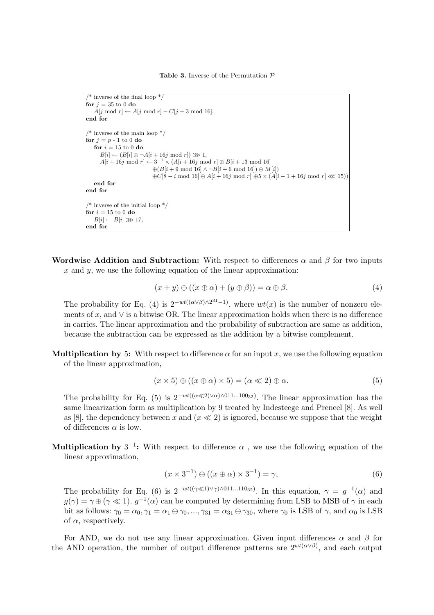**Table 3.** Inverse of the Permutation *P*

```
/* inverse of the final loop */
for j = 35 to 0 do
   A[j \text{ mod } r] \leftarrow A[j \text{ mod } r] - C[j + 3 \text{ mod } 16],end for
\frac{*}{*} inverse of the main loop \frac{*}{*}for j = p - 1 to 0 do
   for i = 15 to 0 do
     B[i] \leftarrow (B[i] \oplus \neg A[i + 16j \mod r]) \ggg 1,
      A[i + 16j \mod r] \leftarrow 3^{-1} \times (A[i + 16j \mod r] \oplus B[i + 13 \mod 16]⊕(B[i + 9 mod 16] ∧ ¬B[i + 6 mod 16]) ⊕ M[i])
                             ⊕C[8 − i mod 16] ⊕ A[i + 16j mod r] ⊕5 × (A[i − 1 + 16j mod r] ≪ 15))
   end for
end for
/* inverse of the initial loop */for i = 15 to 0 do
 B[i] \leftarrow B[i] \ggg 17,
end for
```
**Wordwise Addition and Subtraction:** With respect to differences  $\alpha$  and  $\beta$  for two inputs *x* and *y*, we use the following equation of the linear approximation:

$$
(x+y) \oplus ((x \oplus \alpha) + (y \oplus \beta)) = \alpha \oplus \beta. \tag{4}
$$

The probability for Eq. (4) is  $2^{-wt((\alpha \vee \beta) \wedge 2^{31}-1)}$ , where  $wt(x)$  is the number of nonzero elements of *x*, and *∨* is a bitwise OR. The linear approximation holds when there is no difference in carries. The linear approximation and the probability of subtraction are same as addition, because the subtraction can be expressed as the addition by a bitwise complement.

**Multiplication by** 5: With respect to difference  $\alpha$  for an input x, we use the following equation of the linear approximation,

$$
(x \times 5) \oplus ((x \oplus \alpha) \times 5) = (\alpha \ll 2) \oplus \alpha.
$$
 (5)

The probability for Eq. (5) is  $2^{-wt((\alpha \ll 2)\lor \alpha)\land 011...100_{32})}$ . The linear approximation has the same linearization form as multiplication by 9 treated by Indesteege and Preneel [8]. As well as [8], the dependency between x and  $(x \ll 2)$  is ignored, because we suppose that the weight of differences  $\alpha$  is low.

**Multiplication by**  $3^{-1}$ : With respect to difference  $\alpha$ , we use the following equation of the linear approximation,

$$
(x \times 3^{-1}) \oplus ((x \oplus \alpha) \times 3^{-1}) = \gamma,
$$
\n(6)

The probability for Eq. (6) is  $2^{-wt((\gamma \ll 1)\lor \gamma)\land 011...110_{32})}$ . In this equation,  $\gamma = g^{-1}(\alpha)$  and  $g(\gamma) = \gamma \oplus (\gamma \ll 1)$ .  $g^{-1}(\alpha)$  can be computed by determining from LSB to MSB of  $\gamma$  in each bit as follows:  $\gamma_0 = \alpha_0, \gamma_1 = \alpha_1 \oplus \gamma_0, ..., \gamma_{31} = \alpha_{31} \oplus \gamma_{30}$ , where  $\gamma_0$  is LSB of  $\gamma$ , and  $\alpha_0$  is LSB of  $\alpha$ , respectively.

For AND, we do not use any linear approximation. Given input differences *α* and *β* for the AND operation, the number of output difference patterns are  $2^{wt(\alpha \vee \beta)}$ , and each output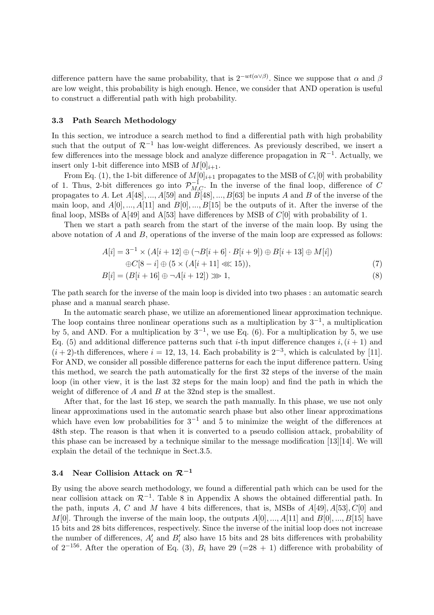difference pattern have the same probability, that is  $2^{-wt(\alpha \vee \beta)}$ . Since we suppose that  $\alpha$  and  $\beta$ are low weight, this probability is high enough. Hence, we consider that AND operation is useful to construct a differential path with high probability.

#### **3.3 Path Search Methodology**

In this section, we introduce a search method to find a differential path with high probability such that the output of  $\mathcal{R}^{-1}$  has low-weight differences. As previously described, we insert a few differences into the message block and analyze difference propagation in *<sup>R</sup>−*<sup>1</sup> . Actually, we insert only 1-bit difference into MSB of  $M[0]_{i+1}$ .

From Eq. (1), the 1-bit difference of  $M[0]_{i+1}$  propagates to the MSB of  $C_i[0]$  with probability of 1. Thus, 2-bit differences go into  $\mathcal{P}_{M,C}^{-1}$ . In the inverse of the final loop, difference of *C* propagates to *A*. Let  $A[48]$ , ...,  $A[59]$  and  $B[48]$ , ...,  $B[63]$  be inputs *A* and *B* of the inverse of the main loop, and  $A[0],..., A[11]$  and  $B[0],..., B[15]$  be the outputs of it. After the inverse of the final loop, MSBs of A[49] and A[53] have differences by MSB of *C*[0] with probability of 1.

Then we start a path search from the start of the inverse of the main loop. By using the above notation of *A* and *B*, operations of the inverse of the main loop are expressed as follows:

$$
A[i] = 3^{-1} \times (A[i + 12] \oplus (\neg B[i + 6] \cdot B[i + 9]) \oplus B[i + 13] \oplus M[i])
$$

$$
\oplus C[8-i] \oplus (5 \times (A[i+11] \lll 15)), \tag{7}
$$

$$
B[i] = (B[i + 16] \oplus \neg A[i + 12]) \ggg 1,\tag{8}
$$

The path search for the inverse of the main loop is divided into two phases : an automatic search phase and a manual search phase.

In the automatic search phase, we utilize an aforementioned linear approximation technique. The loop contains three nonlinear operations such as a multiplication by 3*−*<sup>1</sup> , a multiplication by 5, and AND. For a multiplication by 3*−*<sup>1</sup> , we use Eq. (6). For a multiplication by 5, we use Eq. (5) and additional difference patterns such that *i*-th input difference changes  $i, (i + 1)$  and  $(i+2)$ -th differences, where  $i = 12, 13, 14$ . Each probability is  $2^{-3}$ , which is calculated by [11]. For AND, we consider all possible difference patterns for each the input difference pattern. Using this method, we search the path automatically for the first 32 steps of the inverse of the main loop (in other view, it is the last 32 steps for the main loop) and find the path in which the weight of difference of *A* and *B* at the 32nd step is the smallest.

After that, for the last 16 step, we search the path manually. In this phase, we use not only linear approximations used in the automatic search phase but also other linear approximations which have even low probabilities for 3*−*<sup>1</sup> and 5 to minimize the weight of the differences at 48th step. The reason is that when it is converted to a pseudo collision attack, probability of this phase can be increased by a technique similar to the message modification [13][14]. We will explain the detail of the technique in Sect.3.5.

## **3.4 Near Collision Attack on** *<sup>R</sup>*−**<sup>1</sup>**

By using the above search methodology, we found a differential path which can be used for the near collision attack on *<sup>R</sup>−*<sup>1</sup> . Table 8 in Appendix A shows the obtained differential path. In the path, inputs *A*, *C* and *M* have 4 bits differences, that is, MSBs of *A*[49]*, A*[53]*, C*[0] and *M*[0]. Through the inverse of the main loop, the outputs  $A[0],..., A[11]$  and  $B[0],..., B[15]$  have 15 bits and 28 bits differences, respectively. Since the inverse of the initial loop does not increase the number of differences,  $A_i'$  and  $B_i'$  also have 15 bits and 28 bits differences with probability of  $2^{-156}$ . After the operation of Eq. (3),  $B_i$  have 29 (=28 + 1) difference with probability of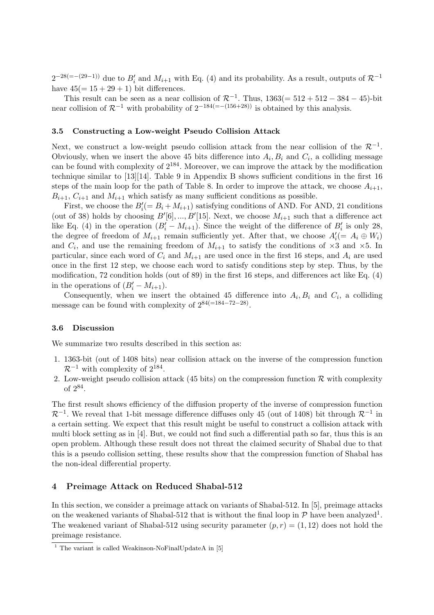$2^{-28(=-(29-1))}$  due to  $B'_i$  and  $M_{i+1}$  with Eq. (4) and its probability. As a result, outputs of  $\mathcal{R}^{-1}$ have  $45(=15+29+1)$  bit differences.

This result can be seen as a near collision of  $\mathcal{R}^{-1}$ . Thus,  $1363(=512 + 512 - 384 - 45)$ -bit near collision of  $\mathcal{R}^{-1}$  with probability of  $2^{-184(=-(156+28))}$  is obtained by this analysis.

### **3.5 Constructing a Low-weight Pseudo Collision Attack**

Next, we construct a low-weight pseudo collision attack from the near collision of the *<sup>R</sup>−*<sup>1</sup> . Obviously, when we insert the above 45 bits difference into  $A_i, B_i$  and  $C_i$ , a colliding message can be found with complexity of  $2^{184}$ . Moreover, we can improve the attack by the modification technique similar to [13][14]. Table 9 in Appendix B shows sufficient conditions in the first 16 steps of the main loop for the path of Table 8. In order to improve the attack, we choose  $A_{i+1}$ ,  $B_{i+1}$ ,  $C_{i+1}$  and  $M_{i+1}$  which satisfy as many sufficient conditions as possible.

First, we choose the  $B_i' (= B_i + M_{i+1})$  satisfying conditions of AND. For AND, 21 conditions (out of 38) holds by choosing  $B'[6], ..., B'[15]$ . Next, we choose  $M_{i+1}$  such that a difference act like Eq. (4) in the operation  $(B_i' - M_{i+1})$ . Since the weight of the difference of  $B_i'$  is only 28, the degree of freedom of  $M_{i+1}$  remain sufficiently yet. After that, we choose  $A_i' (= A_i \oplus W_i)$ and  $C_i$ , and use the remaining freedom of  $M_{i+1}$  to satisfy the conditions of  $\times 3$  and  $\times 5$ . In particular, since each word of  $C_i$  and  $M_{i+1}$  are used once in the first 16 steps, and  $A_i$  are used once in the first 12 step, we choose each word to satisfy conditions step by step. Thus, by the modification, 72 condition holds (out of 89) in the first 16 steps, and differences act like Eq. (4) in the operations of  $(B_i - M_{i+1})$ .

Consequently, when we insert the obtained 45 difference into  $A_i, B_i$  and  $C_i$ , a colliding message can be found with complexity of 284(=184*−*72*−*28) .

#### **3.6 Discussion**

We summarize two results described in this section as:

- 1. 1363-bit (out of 1408 bits) near collision attack on the inverse of the compression function *R*<sup>−1</sup> with complexity of  $2^{184}$ .
- 2. Low-weight pseudo collision attack (45 bits) on the compression function  $\mathcal R$  with complexity of  $2^{84}$ .

The first result shows efficiency of the diffusion property of the inverse of compression function *R*<sup>−1</sup>. We reveal that 1-bit message difference diffuses only 45 (out of 1408) bit through  $\mathcal{R}^{-1}$  in a certain setting. We expect that this result might be useful to construct a collision attack with multi block setting as in [4]. But, we could not find such a differential path so far, thus this is an open problem. Although these result does not threat the claimed security of Shabal due to that this is a pseudo collision setting, these results show that the compression function of Shabal has the non-ideal differential property.

#### **4 Preimage Attack on Reduced Shabal-512**

In this section, we consider a preimage attack on variants of Shabal-512. In [5], preimage attacks on the weakened variants of Shabal-512 that is without the final loop in  $P$  have been analyzed<sup>1</sup>. The weakened variant of Shabal-512 using security parameter  $(p, r) = (1, 12)$  does not hold the preimage resistance.

 $1$  The variant is called Weakinson-NoFinalUpdateA in [5]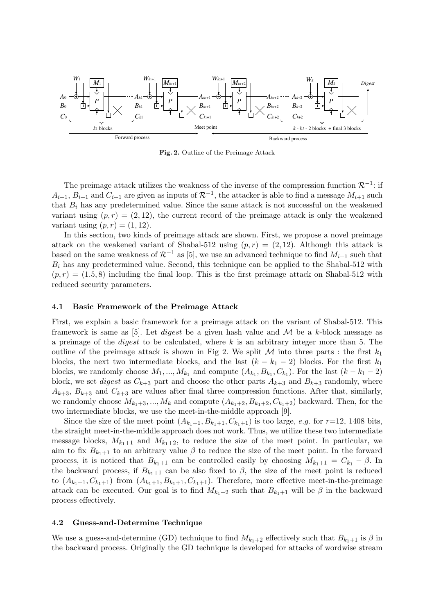

**Fig. 2.** Outline of the Preimage Attack

The preimage attack utilizes the weakness of the inverse of the compression function *<sup>R</sup>−*<sup>1</sup> : if  $A_{i+1}, B_{i+1}$  and  $C_{i+1}$  are given as inputs of  $\mathcal{R}^{-1}$ , the attacker is able to find a message  $M_{i+1}$  such that  $B_i$  has any predetermined value. Since the same attack is not successful on the weakened variant using  $(p, r) = (2, 12)$ , the current record of the preimage attack is only the weakened variant using  $(p, r) = (1, 12)$ .

In this section, two kinds of preimage attack are shown. First, we propose a novel preimage attack on the weakened variant of Shabal-512 using  $(p, r) = (2, 12)$ . Although this attack is based on the same weakness of  $\mathcal{R}^{-1}$  as [5], we use an advanced technique to find  $M_{i+1}$  such that *B<sup>i</sup>* has any predetermined value. Second, this technique can be applied to the Shabal-512 with  $(p, r) = (1.5, 8)$  including the final loop. This is the first preimage attack on Shabal-512 with reduced security parameters.

#### **4.1 Basic Framework of the Preimage Attack**

First, we explain a basic framework for a preimage attack on the variant of Shabal-512. This framework is same as [5]. Let *digest* be a given hash value and *M* be a *k*-block message as a preimage of the *digest* to be calculated, where *k* is an arbitrary integer more than 5. The outline of the preimage attack is shown in Fig 2. We split  $M$  into three parts : the first  $k_1$ blocks, the next two intermediate blocks, and the last  $(k - k_1 - 2)$  blocks. For the first  $k_1$ blocks, we randomly choose  $M_1, ..., M_{k_1}$  and compute  $(A_{k_1}, B_{k_1}, C_{k_1})$ . For the last  $(k - k_1 - 2)$ block, we set *digest* as  $C_{k+3}$  part and choose the other parts  $A_{k+3}$  and  $B_{k+3}$  randomly, where  $A_{k+3}$ ,  $B_{k+3}$  and  $C_{k+3}$  are values after final three compression functions. After that, similarly, we randomly choose  $M_{k_1+3}, ..., M_k$  and compute  $(A_{k_1+2}, B_{k_1+2}, C_{k_1+2})$  backward. Then, for the two intermediate blocks, we use the meet-in-the-middle approach [9].

Since the size of the meet point  $(A_{k_1+1}, B_{k_1+1}, C_{k_1+1})$  is too large, *e.g.* for  $r=12$ , 1408 bits, the straight meet-in-the-middle approach does not work. Thus, we utilize these two intermediate message blocks,  $M_{k_1+1}$  and  $M_{k_1+2}$ , to reduce the size of the meet point. In particular, we aim to fix  $B_{k_1+1}$  to an arbitrary value  $\beta$  to reduce the size of the meet point. In the forward process, it is noticed that  $B_{k_1+1}$  can be controlled easily by choosing  $M_{k_1+1} = C_{k_1} - \beta$ . In the backward process, if  $B_{k_1+1}$  can be also fixed to  $\beta$ , the size of the meet point is reduced to  $(A_{k_1+1}, C_{k_1+1})$  from  $(A_{k_1+1}, B_{k_1+1}, C_{k_1+1})$ . Therefore, more effective meet-in-the-preimage attack can be executed. Our goal is to find  $M_{k_1+2}$  such that  $B_{k_1+1}$  will be  $\beta$  in the backward process effectively.

#### **4.2 Guess-and-Determine Technique**

We use a guess-and-determine (GD) technique to find  $M_{k_1+2}$  effectively such that  $B_{k_1+1}$  is  $\beta$  in the backward process. Originally the GD technique is developed for attacks of wordwise stream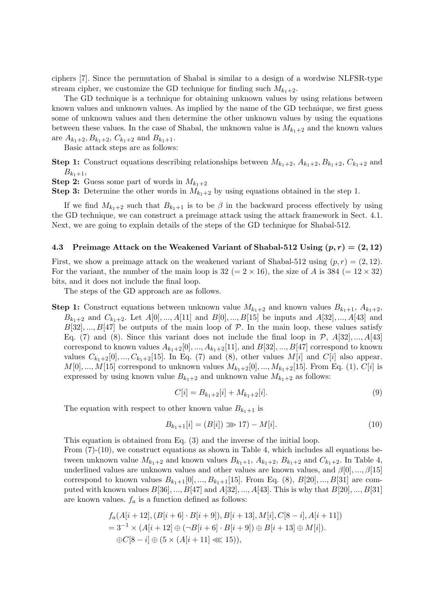ciphers [7]. Since the permutation of Shabal is similar to a design of a wordwise NLFSR-type stream cipher, we customize the GD technique for finding such  $M_{k_1+2}$ .

The GD technique is a technique for obtaining unknown values by using relations between known values and unknown values. As implied by the name of the GD technique, we first guess some of unknown values and then determine the other unknown values by using the equations between these values. In the case of Shabal, the unknown value is  $M_{k_1+2}$  and the known values are  $A_{k_1+2}, B_{k_1+2}, C_{k_1+2}$  and  $B_{k_1+1}$ .

Basic attack steps are as follows:

**Step 1:** Construct equations describing relationships between  $M_{k_1+2}$ ,  $A_{k_1+2}$ ,  $B_{k_1+2}$ ,  $C_{k_1+2}$  and  $B_{k_1+1}$ 

**Step 2:** Guess some part of words in  $M_{k_1+2}$ 

**Step 3:** Determine the other words in  $M_{k_1+2}$  by using equations obtained in the step 1.

If we find  $M_{k_1+2}$  such that  $B_{k_1+1}$  is to be  $\beta$  in the backward process effectively by using the GD technique, we can construct a preimage attack using the attack framework in Sect. 4.1. Next, we are going to explain details of the steps of the GD technique for Shabal-512.

#### **4.3 Preimage Attack on the Weakened Variant of Shabal-512 Using**  $(p, r) = (2, 12)$

First, we show a preimage attack on the weakened variant of Shabal-512 using  $(p, r) = (2, 12)$ . For the variant, the number of the main loop is  $32 (= 2 \times 16)$ , the size of *A* is  $384 (= 12 \times 32)$ bits, and it does not include the final loop.

The steps of the GD approach are as follows.

**Step 1:** Construct equations between unknown value  $M_{k_1+2}$  and known values  $B_{k_1+1}, A_{k_1+2}$ ,  $B_{k_1+2}$  and  $C_{k_1+2}$ . Let  $A[0],..., A[11]$  and  $B[0],..., B[15]$  be inputs and  $A[32],..., A[43]$  and  $B[32], ..., B[47]$  be outputs of the main loop of  $P$ . In the main loop, these values satisfy Eq. (7) and (8). Since this variant does not include the final loop in  $\mathcal{P}$ ,  $A[32],...,A[43]$ correspond to known values  $A_{k_1+2}[0],..., A_{k_1+2}[11],$  and  $B[32],..., B[47]$  correspond to known values  $C_{k_1+2}[0], ..., C_{k_1+2}[15]$ . In Eq. (7) and (8), other values  $M[i]$  and  $C[i]$  also appear. *M*[0]*, ..., M*[15] correspond to unknown values  $M_{k_1+2}[0], ..., M_{k_1+2}[15]$ . From Eq. (1), *C*[*i*] is expressed by using known value  $B_{k_1+2}$  and unknown value  $M_{k_1+2}$  as follows:

$$
C[i] = B_{k_1+2}[i] + M_{k_1+2}[i].
$$
\n(9)

The equation with respect to other known value  $B_{k_1+1}$  is

$$
B_{k_1+1}[i] = (B[i]) \ggg 17 - M[i]. \tag{10}
$$

This equation is obtained from Eq. (3) and the inverse of the initial loop.

From (7)-(10), we construct equations as shown in Table 4, which includes all equations between unknown value  $M_{k_1+2}$  and known values  $B_{k_1+1}, A_{k_1+2}, B_{k_1+2}$  and  $C_{k_1+2}$ . In Table 4, underlined values are unknown values and other values are known values, and *β*[0]*, ..., β*[15] correspond to known values  $B_{k_1+1}[0],..., B_{k_1+1}[15]$ . From Eq. (8),  $B[20],..., B[31]$  are computed with known values  $B[36]$ , ...,  $B[47]$  and  $A[32]$ , ...,  $A[43]$ . This is why that  $B[20]$ , ...,  $B[31]$ are known values. *f<sup>a</sup>* is a function defined as follows:

$$
f_a(A[i + 12], (B[i + 6] \cdot B[i + 9]), B[i + 13], M[i], C[8 - i], A[i + 11])
$$
  
= 3<sup>-1</sup> × (A[i + 12] ⊕ (∩B[i + 6] \cdot B[i + 9]) ⊕ B[i + 13] ⊕ M[i]).  
⊕C[8 - i] ⊕ (5 × (A[i + 11] ≪ 15)),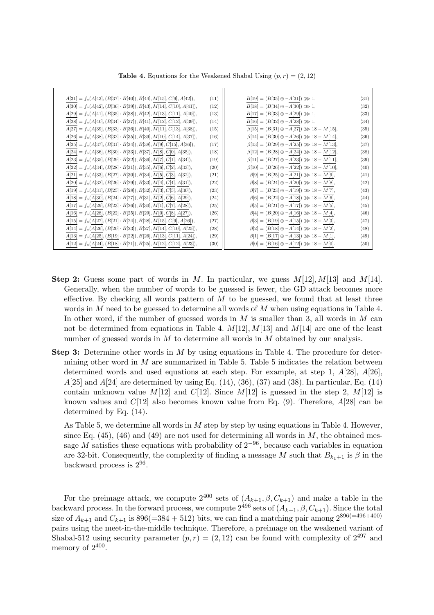| $A[31] = f_a(A[43], (B[37] \cdot B[40]), B[44], M[15], C[9], A[42]),$  | (11) | $B[19] = (B[35] \oplus \neg A[31]) \gg 1,$              | (31) |
|------------------------------------------------------------------------|------|---------------------------------------------------------|------|
| $A[30] = f_a(A[42], (B[36] \cdot B[39]), B[43], M[14], C[10], A[41]),$ | (12) | $B[18] = (B[34] \oplus \neg A[30]) \gg 1,$              | (32) |
| $A[29] = f_a(A[41], (B[35] \cdot B[38]), B[42], M[13], C[11], A[40]),$ | (13) | $B[17] = (B[33] \oplus \neg A[29]) \gg 1,$              | (33) |
| $A[28] = f_a(A[40], (B[34] \cdot B[37]), B[41], M[12], C[12], A[39]),$ | (14) | $B[16] = (B[32] \oplus \neg A[28]) \gg 1,$              | (34) |
| $A[27] = f_a(A[39], (B[33] \cdot B[36]), B[40], M[11], C[13], A[38]),$ | (15) | $\beta[15] = (B[31] \oplus \neg A[27]) \gg 18 - M[15],$ | (35) |
| $A[26] = f_a(A[38], (B[32] \cdot B[35]), B[39], M[10], C[14], A[37]),$ | (16) | $\beta[14] = (B[30] \oplus \neg A[26]) \gg 18 - M[14],$ | (36) |
| $A[25] = f_a(A[37], (B[31] \cdot B[34]), B[38], M[9], C[15], A[36]),$  | (17) | $\beta[13] = (B[29] \oplus \neg A[25]) \gg 18 - M[13],$ | (37) |
| $A[24] = f_a(A[36], (B[30] \cdot B[33]), B[37], M[8], C[0], A[35]),$   | (18) | $\beta[12] = (B[28] \oplus \neg A[24]) \gg 18 - M[12],$ | (38) |
| $A[23] = f_a(A[35], (B[29] \cdot B[32]), B[36], M[7], C[1], A[34]),$   | (19) | $\beta[11] = (B[27] \oplus \neg A[23]) \gg 18 - M[11],$ | (39) |
| $A[22] = f_a(A[34], (B[28] \cdot B[31]), B[35], M[6], C[2], A[33]),$   | (20) | $\beta[10] = (B[26] \oplus \neg A[22]) \gg 18 - M[10],$ | (40) |
| $A[21] = f_a(A[33], (B[27] \cdot B[30]), B[34], M[5], C[3], A[32]),$   | (21) | $\beta[9] = (B[25] \oplus \neg A[21]) \gg 18 - M[9],$   | (41) |
| $A[20] = f_a(A[32], (B[26]\cdot B[29]), B[33], M[4], C[4], A[31]),$    | (22) | $\beta[8] = (B[24] \oplus \neg A[20]) \gg 18 - M[8],$   | (42) |
| $A[19] = f_a(A[31], (B[25] \cdot B[28]), B[32], M[3], C[5], A[30]),$   | (23) | $\beta[7] = (B[23] \oplus \neg A[19]) \ggg 18 - M[7],$  | (43) |
| $A[18] = f_a(A[30], (B[24] \cdot B[27]), B[31], M[2], C[6], A[29]),$   | (24) | $\beta[6] = (B[22] \oplus \neg A[18]) \gg 18 - M[6],$   | (44) |
| $A[17] = f_a(A[29], (B[23] \cdot B[26]), B[30], M[1], C[7], A[28]),$   | (25) | $\beta[5] = (B[21] \oplus \neg A[17]) \gg 18 - M[5],$   | (45) |
| $A[16] = f_a(A[28], (B[22] \cdot B[25]), B[29], M[0], C[8], A[27]),$   | (26) | $\beta[4] = (B[20] \oplus \neg A[16]) \gg 18 - M[4],$   | (46) |
| $A[15] = f_a(A[27], (B[21] \cdot B[24]), B[28], M[15], C[9], A[26]),$  | (27) | $\beta[3] = (B[19] \oplus \neg A[15]) \gg 18 - M[3],$   | (47) |
| $A[14] = f_a(A[26], (B[20] \cdot B[23]), B[27], M[14], C[10], A[25]),$ | (28) | $\beta[2]=(B[18]\oplus \neg A[14]) \ggg 18 - M[2],$     | (48) |
| $A[13] = f_a(A[25], (B[19] \cdot B[22]), B[26], M[13], C[11], A[24]),$ | (29) | $\beta[1] = (B[17] \oplus \neg A[13]) \ggg 18 - M[1],$  | (49) |
| $A[12] = f_a(A[24], (B[18] \cdot B[21]), B[25], M[12], C[12], A[23]),$ | (30) | $\beta[0] = (B[16] \oplus \neg A[12]) \gg 18 - M[0].$   | (50) |

**Table 4.** Equations for the Weakened Shabal Using  $(p, r) = (2, 12)$ 

- **Step 2:** Guess some part of words in *M*. In particular, we guess *M*[12]*, M*[13] and *M*[14]. Generally, when the number of words to be guessed is fewer, the GD attack becomes more effective. By checking all words pattern of *M* to be guessed, we found that at least three words in *M* need to be guessed to determine all words of *M* when using equations in Table 4. In other word, if the number of guessed words in *M* is smaller than 3, all words in *M* can not be determined from equations in Table 4.  $M[12]$ ,  $M[13]$  and  $M[14]$  are one of the least number of guessed words in *M* to determine all words in *M* obtained by our analysis.
- **Step 3:** Determine other words in *M* by using equations in Table 4. The procedure for determining other word in *M* are summarized in Table 5. Table 5 indicates the relation between determined words and used equations at each step. For example, at step 1, *A*[28], *A*[26], *A*[25] and *A*[24] are determined by using Eq. (14), (36), (37) and (38). In particular, Eq. (14) contain unknown value  $M[12]$  and  $C[12]$ . Since  $M[12]$  is guessed in the step 2,  $M[12]$  is known values and *C*[12] also becomes known value from Eq. (9). Therefore, *A*[28] can be determined by Eq. (14).

As Table 5, we determine all words in *M* step by step by using equations in Table 4. However, since Eq. (45), (46) and (49) are not used for determining all words in *M*, the obtained message *M* satisfies these equations with probability of  $2^{-96}$ , because each variables in equation are 32-bit. Consequently, the complexity of finding a message *M* such that  $B_{k_1+1}$  is  $\beta$  in the backward process is  $2^{96}$ .

For the preimage attack, we compute  $2^{400}$  sets of  $(A_{k+1}, \beta, C_{k+1})$  and make a table in the backward process. In the forward process, we compute  $2^{496}$  sets of  $(A_{k+1}, \beta, C_{k+1})$ . Since the total size of  $A_{k+1}$  and  $C_{k+1}$  is 896(=384 + 512) bits, we can find a matching pair among  $2^{896(=496+400)}$ pairs using the meet-in-the-middle technique. Therefore, a preimage on the weakened variant of Shabal-512 using security parameter  $(p, r) = (2, 12)$  can be found with complexity of  $2^{497}$  and memory of  $2^{400}$ .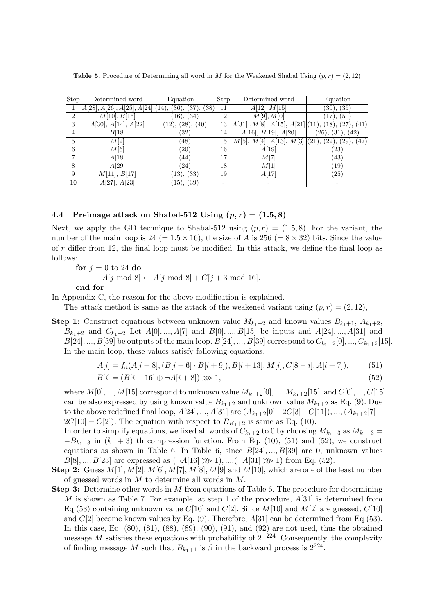| Step           | Determined word                                          | Equation            | $ \overline{\text{Step}} $ | Determined word                                  | Equation         |
|----------------|----------------------------------------------------------|---------------------|----------------------------|--------------------------------------------------|------------------|
|                | $A[28], A[26], A[25], A[24] \mid (14), (36), (37), (38)$ |                     | 11                         | A[12], M[15]                                     | (30), (35)       |
| $\overline{2}$ | M[10], B[16]                                             | (16), (34)          | 12                         | M[9], M[0]                                       | (50)             |
| 3              | A[30], A[14], A[22]                                      | (40)<br>(28), (28), | 13                         | A[31], M[8], A[15], A[21]](11), (18),            | (41)             |
| 4              | B[18]                                                    | $\left( 32\right)$  | 14                         | A[16], B[19], A[20]                              | (26), (31), (42) |
| 5              | M[2]                                                     | (48)                | 15                         | $M[5], M[4], A[13], M[3]$ (21), (22), (29), (47) |                  |
| 6              | $\overline{M}[6]$                                        | $\left( 20\right)$  | 16                         | A[19]                                            | (23)             |
| ⇁              | $\overline{A}[18]$                                       | (44)                | 17                         | $\overline{M}[7]$                                | (43)             |
| 8              | A[29]                                                    | (24)                | 18                         | M[1]                                             | (19)             |
| 9              | M[11], B[17]                                             | (13), (33)          | 19                         | A[17]                                            | (25)             |
| 10             | $A[27], \overline{A[23]}$                                | (15), (39)          |                            |                                                  |                  |

**Table 5.** Procedure of Determining all word in *M* for the Weakened Shabal Using  $(p, r) = (2, 12)$ 

## **4.4** Preimage attack on Shabal-512 Using  $(p, r) = (1.5, 8)$

Next, we apply the GD technique to Shabal-512 using  $(p, r) = (1.5, 8)$ . For the variant, the number of the main loop is 24 (=  $1.5 \times 16$ ), the size of *A* is 256 (=  $8 \times 32$ ) bits. Since the value of *r* differ from 12, the final loop must be modified. In this attack, we define the final loop as follows:

**for**  $j = 0$  to 24 **do**  $A[j \mod 8] \leftarrow A[j \mod 8] + C[j + 3 \mod 16].$ 

**end for**

In Appendix C, the reason for the above modification is explained.

The attack method is same as the attack of the weakened variant using  $(p, r) = (2, 12)$ ,

**Step 1:** Construct equations between unknown value  $M_{k_1+2}$  and known values  $B_{k_1+1}, A_{k_1+2}$ , *B*<sub>*k*1+2</sub> and *C*<sub>*k*<sub>1</sub>+2</sub> Let *A*[0]*, ..., A*[7] and *B*[0]*, ..., B*[15] be inputs and *A*[24]*, ..., A*[31] and *B*[24]*, ..., B*[39] be outputs of the main loop. *B*[24]*, ..., B*[39] correspond to  $C_{k_1+2}[0], ..., C_{k_1+2}[15]$ . In the main loop, these values satisfy following equations,

$$
A[i] = f_a(A[i+8], (B[i+6] \cdot B[i+9]), B[i+13], M[i], C[8-i], A[i+7]),
$$
 (51)

$$
B[i] = (B[i + 16] \oplus \neg A[i + 8]) \gg 1,
$$
\n(52)

where  $M[0], ..., M[15]$  correspond to unknown value  $M_{k_1+2}[0], ..., M_{k_1+2}[15]$ , and  $C[0], ..., C[15]$ can be also expressed by using known value  $B_{k_1+2}$  and unknown value  $M_{k_1+2}$  as Eq. (9). Due to the above redefined final loop,  $A[24]$ , ...,  $A[31]$  are  $(A_{k_1+2}[0]-2C[3]-C[11]), ..., (A_{k_1+2}[7] 2C[10] - C[2]$ ). The equation with respect to  $B_{K_1+2}$  is same as Eq. (10).

In order to simplify equations, we fixed all words of  $C_{k_1+2}$  to 0 by choosing  $M_{k_1+3}$  as  $M_{k_1+3}$  $-B_{k_1+3}$  in  $(k_1+3)$  th compression function. From Eq. (10), (51) and (52), we construct equations as shown in Table 6. In Table 6, since *B*[24]*, ..., B*[39] are 0, unknown values *B*[8]*, ..., B*[23] are expressed as  $(\neg A[16] \gg 1), ..., (\neg A[31] \gg 1)$  from Eq. (52).

- **Step 2:** Guess  $M[1], M[2], M[6], M[7], M[8], M[9]$  and  $M[10]$ , which are one of the least number of guessed words in *M* to determine all words in *M*.
- **Step 3:** Determine other words in *M* from equations of Table 6. The procedure for determining *M* is shown as Table 7. For example, at step 1 of the procedure, *A*[31] is determined from Eq (53) containing unknown value  $C[10]$  and  $C[2]$ . Since  $M[10]$  and  $M[2]$  are guessed,  $C[10]$ and *C*[2] become known values by Eq. (9). Therefore, *A*[31] can be determined from Eq (53). In this case, Eq. (80), (81), (88), (89), (90), (91), and (92) are not used, thus the obtained message *M* satisfies these equations with probability of 2*−*224. Consequently, the complexity of finding message *M* such that  $B_{k_1+1}$  is  $\beta$  in the backward process is  $2^{224}$ .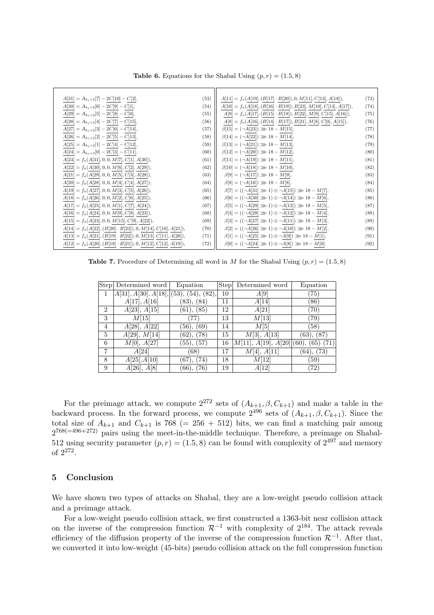**Table 6.** Equations for the Shabal Using  $(p, r) = (1.5, 8)$ 

| $A[31] = A_{k_1+2}[7] - 2C[10] - C[2],$                            | (53) | $A[11] = f_a(A[19], (B[17] \cdot B[20]), 0, M[11], C[13], A[18]),$                                                        | (73) |
|--------------------------------------------------------------------|------|---------------------------------------------------------------------------------------------------------------------------|------|
| $A[30] = A_{k_1+2}[6] - 2C[9] - C[1],$                             | (54) | $A[10] = f_a(A[18], (B[16] \cdot B[19]), B[23], M[10], C[14], A[17]),$                                                    | (74) |
| $A[29] = A_{k_1+2}[5] - 2C[8] - C[0],$                             | (55) | $A[9] = f_a(A[17], (B[15] \cdot B[18]), B[22], M[9], C[15], A[16]),$                                                      | (75) |
| $A[28] = A_{k_1+2}[4] - 2C[7] - C[15],$                            | (56) | $\underline{A[8]} = f_a(\underline{A[16]},(\underline{B[14]}\cdot \underline{B[17]}),\underline{B[21]},M[8],C[0],A[15]),$ | (76) |
| $A[27] = A_{k_1+2}[3] - 2C[6] - C[14],$                            | (57) | $\beta[15] = (\neg A[23]) \gg 18 - M[15],$                                                                                | (77) |
| $A[26] = A_{k_1+2}[2] - 2C[5] - C[13],$                            | (58) | $\beta[14] = (\neg A[22]) \gg 18 - M[14],$                                                                                | (78) |
| $A[25] = A_{k_1+2}[1] - 2C[4] - C[12],$                            | (59) | $\beta[13] = (\neg A[21]) \gg 18 - M[13],$                                                                                | (79) |
| $A[24] = A_{k_1+2}[0] - 2C[3] - C[11],$                            | (60) | $\beta[12] = (\neg A[20]) \gg 18 - M[12],$                                                                                | (80) |
| $A[23] = f_a(A[31], 0, 0, M[7], C[1], A[30]),$                     | (61) | $\beta[11] = (\neg A[19]) \gg 18 - M[11],$                                                                                | (81) |
| $A[22] = f_a(A[30], 0, 0, M[6], C[2], A[29]),$                     | (62) | $\beta[10] = (\neg A[18]) \gg 18 - M[10],$                                                                                | (82) |
| $A[21] = f_a(A[29], 0, 0, M[5], C[3], A[28]),$                     | (63) | $\beta[9] = (\neg A[17]) \gg 18 - M[9],$                                                                                  | (83) |
| $A[20] = f_a(A[28], 0, 0, M[4], C[4], A[27]),$                     | (64) | $\beta[8] = (\neg A[16]) \gg 18 - M[8],$                                                                                  | (84) |
| $A[19] = f_a(A[27], 0, 0, M[3], C[5], A[26]),$                     | (65) | $\beta[7] = ((\neg A[31] \gg 1) \oplus \neg A[15]) \gg 18 - M[7],$                                                        | (85) |
| $A[18] = f_a(A[26], 0, 0, M[2], C[6], A[25]),$                     | (66) | $\beta[6] = ((\neg A[30] \gg 1) \oplus \neg A[14]) \gg 18 - M[6],$                                                        | (86) |
| $A[17] = f_a(A[25], 0, 0, M[1], C[7], A[24]),$                     | (67) | $\beta[5] = ((\neg A[29] \gg 1) \oplus \neg A[13]) \gg 18 - M[5],$                                                        | (87) |
| $A[16] = f_a(A[24], 0, 0, M[0], C[8], A[23]),$                     | (68) | $\beta[4] = ((\neg A[28] \gg 1) \oplus \neg A[12]) \gg 18 - M[4],$                                                        | (88) |
| $A[15] = f_a(A[23], 0, 0, M[15], C[9], A[22]),$                    | (69) | $\beta[3] = ((\neg A[27] \gg 1) \oplus \neg A[11]) \gg 18 - M[3],$                                                        | (89) |
| $A[14] = f_a(A[22], (B[20] \cdot B[23]), 0, M[14], C[10], A[21]),$ | (70) | $\beta[2] = ((\neg A[26] \ggg 1) \oplus \neg A[10]) \ggg 18 - M[2],$                                                      | (90) |
| $A[13] = f_a(A[21], (B[19] \cdot B[22]), 0, M[13], C[11], A[20]),$ | (71) | $\beta[1] = ((\neg A[25] \gg 1) \oplus \neg A[9]) \gg 18 - M[1],$                                                         | (91) |
| $A[12] = f_a(A[20], (B[18] \cdot B[21]), 0, M[12], C[12], A[19]),$ | (72) | $\beta[0] = ((\neg A[24] \gg 1) \oplus \neg A[8]) \gg 18 - M[0].$                                                         | (92) |

**Table 7.** Procedure of Determining all word in *M* for the Shabal Using  $(p, r) = (1.5, 8)$ 

|                | Step Determined word                     | Equation         | Step | Determined word           | Equation           |
|----------------|------------------------------------------|------------------|------|---------------------------|--------------------|
| 1              | $A[31], A[30], A[18], (53), (54), (82),$ |                  | 10   | A[9]                      | $\left( 75\right)$ |
|                | A[17], A[16]                             | (83), (84)       | 11   | A[14]                     | (86)               |
| $\overline{2}$ | A[23], A[15]                             | (61), (85)       | 12   | A[21]                     | $\left( 70\right)$ |
| 3              | M[15]                                    | (77)             | 13   | M[13]                     | (79)               |
| 4              | A[28], A[22]                             | (56), (69)       | 14   | M[5]                      | (58)               |
| 5              | A[29], M[14]                             | $(62)$ , $(78)$  | 15   | M[3], A[13]               | (63), (87)         |
| 6              | M[0], A[27]                              | (55), (57)       | 16   | M[11], A[19], A[20] (60), | $(65)$ $(71)$      |
| 7              | A[24]                                    | (68)             | 17   | M[4], A[11]               | (64), (73)         |
| 8              | A[25], A[10]                             | (74)<br>$(67)$ . | 18   | M[12]                     | (59)               |
| 9              | A[26], A[8]                              | (76)<br>$(66)$ , | 19   | A[12]                     | (72)               |

For the preimage attack, we compute  $2^{272}$  sets of  $(A_{k+1}, \beta, C_{k+1})$  and make a table in the backward process. In the forward process, we compute  $2^{496}$  sets of  $(A_{k+1}, \beta, C_{k+1})$ . Since the total size of  $A_{k+1}$  and  $C_{k+1}$  is 768 (= 256 + 512) bits, we can find a matching pair among  $2^{768 (=496+272)}$  pairs using the meet-in-the-middle technique. Therefore, a preimage on Shabal-512 using security parameter  $(p, r) = (1.5, 8)$  can be found with complexity of  $2^{497}$  and memory of 2<sup>272</sup> .

# **5 Conclusion**

We have shown two types of attacks on Shabal, they are a low-weight pseudo collision attack and a preimage attack.

For a low-weight pseudo collision attack, we first constructed a 1363-bit near collision attack on the inverse of the compression function  $\mathcal{R}^{-1}$  with complexity of  $2^{184}$ . The attack reveals efficiency of the diffusion property of the inverse of the compression function *<sup>R</sup>−*<sup>1</sup> . After that, we converted it into low-weight (45-bits) pseudo collision attack on the full compression function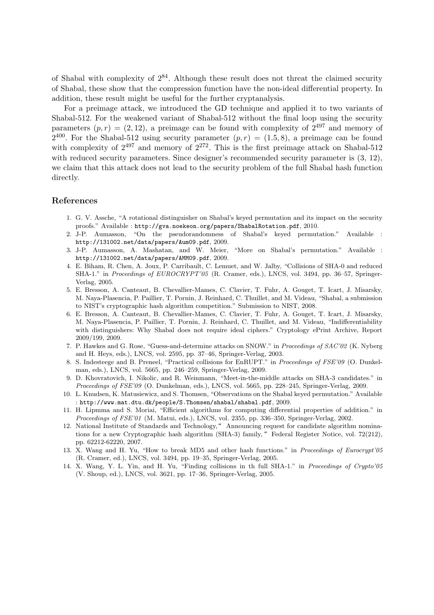of Shabal with complexity of  $2^{84}$ . Although these result does not threat the claimed security of Shabal, these show that the compression function have the non-ideal differential property. In addition, these result might be useful for the further cryptanalysis.

For a preimage attack, we introduced the GD technique and applied it to two variants of Shabal-512. For the weakened variant of Shabal-512 without the final loop using the security parameters  $(p, r) = (2, 12)$ , a preimage can be found with complexity of  $2^{497}$  and memory of  $2^{400}$ . For the Shabal-512 using security parameter  $(p, r) = (1.5, 8)$ , a preimage can be found with complexity of  $2^{497}$  and memory of  $2^{272}$ . This is the first preimage attack on Shabal-512 with reduced security parameters. Since designer's recommended security parameter is  $(3, 12)$ , we claim that this attack does not lead to the security problem of the full Shabal hash function directly.

### **References**

- 1. G. V. Assche, "A rotational distinguisher on Shabal's keyed permutation and its impact on the security proofs." Available : http://gva.noekeon.org/papers/ShabalRotation.pdf, 2010.
- 2. J-P. Aumasson, "On the pseudorandomness of Shabal's keyed permutation." Available : http://131002.net/data/papers/Aum09.pdf, 2009.
- 3. J-P. Aumasson, A. Mashatan, and W. Meier, "More on Shabal's permutation." Available : http://131002.net/data/papers/AMM09.pdf, 2009.
- 4. E. Biham, R. Chen, A. Joux, P. Carribault, C. Lemuet, and W. Jalby, "Collisions of SHA-0 and reduced SHA-1." in *Proceedings of EUROCRYPT'05* (R. Cramer, eds.), LNCS, vol. 3494, pp. 36–57, Springer-Verlag, 2005.
- 5. E. Bresson, A. Canteaut, B. Chevallier-Mames, C. Clavier, T. Fuhr, A. Gouget, T. Icart, J. Misarsky, M. Naya-Plasencia, P. Paillier, T. Pornin, J. Reinhard, C. Thuillet, and M. Videau, "Shabal, a submission to NIST's cryptographic hash algorithm competition." Submission to NIST, 2008.
- 6. E. Bresson, A. Canteaut, B. Chevallier-Mames, C. Clavier, T. Fuhr, A. Gouget, T. Icart, J. Misarsky, M. Naya-Plasencia, P. Paillier, T. Pornin, J. Reinhard, C. Thuillet, and M. Videau, "Indifferentiability with distinguishers: Why Shabal does not require ideal ciphers." Cryptology ePrint Archive, Report 2009/199, 2009.
- 7. P. Hawkes and G. Rose, "Guess-and-determine attacks on SNOW." in *Proceedings of SAC'02* (K. Nyberg and H. Heys, eds.), LNCS, vol. 2595, pp. 37–46, Springer-Verlag, 2003.
- 8. S. Indesteege and B. Preneel, "Practical collisions for EnRUPT." in *Proceedings of FSE'09* (O. Dunkelman, eds.), LNCS, vol. 5665, pp. 246–259, Springer-Verlag, 2009.
- 9. D. Khovratovich, I. Nikolic, and R. Weinmann, "Meet-in-the-middle attacks on SHA-3 candidates." in *Proceedings of FSE'09* (O. Dunkelman, eds.), LNCS, vol. 5665, pp. 228–245, Springer-Verlag, 2009.
- 10. L. Knudsen, K. Matusiewicz, and S. Thomsen, "Observations on the Shabal keyed permutation." Available : http://www.mat.dtu.dk/people/S.Thomsen/shabal/shabal.pdf, 2009.
- 11. H. Lipmma and S. Moriai, "Efficient algorithms for computing differential properties of addition." in *Proceedings of FSE'01* (M. Matui, eds.), LNCS, vol. 2355, pp. 336–350, Springer-Verlag, 2002.
- 12. National Institute of Standards and Technology," Announcing request for candidate algorithm nominations for a new Cryptographic hash algorithm (SHA-3) family, " Federal Register Notice, vol. 72(212), pp. 62212-62220, 2007.
- 13. X. Wang and H. Yu, "How to break MD5 and other hash functions." in *Proceedings of Eurocrypt'05* (R. Cramer, ed.), LNCS, vol. 3494, pp. 19–35, Springer-Verlag, 2005.
- 14. X. Wang, Y. L. Yin, and H. Yu, "Finding collisions in th full SHA-1." in *Proceedings of Crypto'05* (V. Shoup, ed.), LNCS, vol. 3621, pp. 17–36, Springer-Verlag, 2005.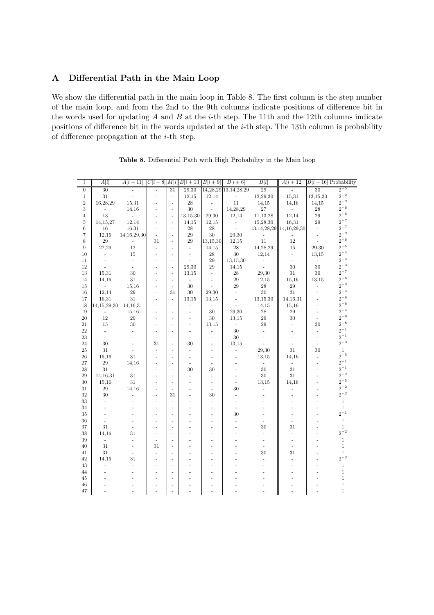# **A Differential Path in the Main Loop**

We show the differential path in the main loop in Table 8. The first column is the step number of the main loop, and from the 2nd to the 9th columns indicate positions of difference bit in the words used for updating *A* and *B* at the *i*-th step. The 11th and the 12th columns indicate positions of difference bit in the words updated at the *i*-th step. The 13th column is probability of difference propagation at the *i*-th step.

| $\it i$           | A[i]                     | $A[i+11]$                |                |                          | $ C[i-8] M[i] B[i+13] B[i+9]$ |                          | $B[i+6]$                  | B[i]                        | $A[i+12]$                |                          | $B[i + 16]$ Probability     |
|-------------------|--------------------------|--------------------------|----------------|--------------------------|-------------------------------|--------------------------|---------------------------|-----------------------------|--------------------------|--------------------------|-----------------------------|
| $\overline{0}$    | $\overline{30}$          |                          |                | 31                       | 29,30                         |                          | 14, 28, 29 13, 14, 28, 29 | 29                          |                          | $\overline{30}$          | $\frac{1}{2}$ <sup>-5</sup> |
| $\mathbf{1}$      | 31                       |                          | $\frac{1}{2}$  | $\overline{\phantom{a}}$ | 12,15                         | 12,14                    | $\overline{\phantom{a}}$  | 12,29,30                    | 15,31                    | 13,15,30                 | $2^{-2}$                    |
| $\overline{2}$    | 16,28,29                 | 15,31                    | ÷,             | ÷,                       | 28                            | $\overline{\phantom{a}}$ | 11                        | 14,15                       | 14,16                    | 14,15                    | $2^{-9}$                    |
| 3                 | L,                       | 14,16                    | ÷,             | $\bar{a}$                | 30                            | $\overline{\phantom{a}}$ | 14,28,29                  | 27                          | L.                       | 28                       | $2^{-6}$                    |
| $\overline{4}$    | 13                       | $\overline{a}$           | L.             | ÷,                       | 13,15,30                      | 29,30                    | 12,14                     | 11,13,28                    | 12,14                    | 29                       | $2^{-6}$                    |
| $\overline{5}$    | 14,15,27                 | 12,14                    | L.             | $\bar{a}$                | 14,15                         | 12,15                    | $\Box$                    | 15,28,30                    | 16,31                    | 29                       | $2^{-7}$                    |
| 6                 | 16                       | 16,31                    | ÷.             | $\sim$                   | 28                            | 28                       | $\overline{a}$            | $13,14,28,29$   14,16,29,30 |                          | $\omega$                 | $2^{-7}$                    |
| $\scriptstyle{7}$ | 12,16                    | 14, 16, 29, 30           | $\sim$         | $\sim$                   | 29                            | 30                       | 29,30                     |                             |                          | $\sim$                   | $2^{-9}$                    |
| 8                 | 29                       |                          | 31             | $\sim$                   | 29                            | 13,15,30                 | 12,15                     | 11                          | 12                       |                          | $2^{-6}$                    |
| 9                 | 27,29                    | 12                       | $\mathcal{L}$  | $\sim$                   | $\sim$                        | 14,15                    | 28                        | 14,28,29                    | 15                       | 29,30                    | $2^{-5}$                    |
| 10                | ÷                        | 15                       | ٠              | $\overline{\phantom{a}}$ | $\overline{\phantom{a}}$      | 28                       | 30                        | 12,14                       | $\overline{\phantom{a}}$ | 13,15                    | $2^{-4}$                    |
| 11                | $\bar{\phantom{a}}$      | $\omega$                 | ÷,             | $\sim$                   | $\sim$                        | 29                       | 13,15,30                  | $\overline{\phantom{a}}$    | $\omega$                 | $\sim$                   | $2^{-4}$                    |
| 12                | L.                       | $\sim$                   | ÷,             | $\overline{\phantom{a}}$ | 29,30                         | 29                       | 14,15                     | $\mathbf{r}$                | 30                       | 30                       | $2^{-3}$                    |
| 13                | 15,31                    | 30                       | ÷,             | ÷,                       | 13.15                         | $\overline{\phantom{a}}$ | 28                        | 29,30                       | 31                       | 30                       | $2^{-7}$                    |
| 14                | 14,16                    | $31\,$                   | ÷,             | $\overline{\phantom{a}}$ | $\sim$                        | ÷,                       | $\sqrt{29}$               | 12,15                       | 15,16                    | 13,15                    | $2^{-6}$                    |
| 15                | $\frac{1}{2}$            | 15,16                    | ÷,             | $\sim$                   | 30                            | ÷,                       | 29                        | 28                          | 29                       | ÷,                       | $2^{-3}$                    |
| 16                | 12,14                    | $\sqrt{29}$              | L.             | 31                       | 30                            | 29,30                    | $\overline{a}$            | 30                          | 31                       | L.                       | $2^{-4}$                    |
| 17                | 16,31                    | 31                       |                | ÷,                       | 13,15                         | 13,15                    | $\bar{\phantom{a}}$       | 13,15,30                    | 14,16,31                 | L.                       | $2^{-8}$                    |
| 18                | 14, 15, 29, 30           | 14,16,31                 |                | $\overline{\phantom{a}}$ | ÷.                            | $\sim$                   | $\overline{\phantom{a}}$  | 14,15                       | 15,16                    | $\overline{\phantom{a}}$ | $2^{-6}$                    |
| 19                |                          | 15,16                    |                | ÷,                       | ÷.                            | 30                       | 29,30                     | 28                          | 29                       | $\overline{a}$           | $2^{-4}$                    |
| 20                | 12                       | 29                       | $\overline{a}$ | ÷,                       | ä,                            | 30                       | 13,15                     | 29                          | 30                       | $\sim$                   | $2^{-9}$                    |
| 21                | 15                       | 30                       | ٠              | ÷.                       | ä,                            | 13,15                    | $\bar{\phantom{a}}$       | 29                          | $\overline{a}$           | 30                       | $2^{-8}$                    |
| 22                | $\overline{\phantom{a}}$ | ÷.                       | ÷,             | $\sim$                   | ä,                            | $\overline{\phantom{a}}$ | 30                        | $\mathcal{L}$               | u,                       | ÷,                       | $2^{-1}$                    |
| 23                | $\frac{1}{2}$            |                          | ÷,             | ÷,                       | ÷,                            | ÷,                       | 30                        | $\overline{\phantom{a}}$    | ÷,                       | ÷,                       | $2^{-1}$                    |
| 24                | 30                       |                          | 31             | ÷,                       | 30                            | $\overline{a}$           | 13,15                     |                             | ÷,                       | ÷,                       | $2^{-3}\,$                  |
| 25                | 31                       |                          | $\frac{1}{2}$  | ÷                        | ÷,                            | ÷,                       | $\overline{\phantom{a}}$  | 29,30                       | 31                       | 30                       | $\mathbf{1}$                |
| 26                | 15,16                    | 31                       | ÷,             | ÷,                       | ÷,                            | ÷,                       |                           | 13,15                       | 14,16                    | $\frac{1}{2}$            | $2^{-5}$                    |
| 27                | 29                       | 14,16                    | ÷,             | ÷,                       | ÷.                            | ÷,                       |                           | $\overline{\phantom{a}}$    | ä,                       | ÷,                       | $2^{\mathrm{-1}}$           |
| 28                | 31                       | $\overline{\phantom{a}}$ | ÷,             | ÷,                       | 30                            | 30                       |                           | 30                          | 31                       | ÷,                       | $2^{-1}$                    |
| 29                | 14,16,31                 | 31                       |                | L.                       | ÷.                            | $\bar{a}$                | $\frac{1}{2}$             | 30                          | 31                       | ÷,                       | $2^{-2}$                    |
| 30                | 15,16                    | 31                       | ÷,             | $\overline{\phantom{a}}$ | $\overline{\phantom{0}}$      | $\overline{\phantom{a}}$ | $\overline{\phantom{a}}$  | 13,15                       | 14,16                    | ÷,                       | $2^{-5}$                    |
| 31                | 29                       | 14,16                    | ÷              | $\sim$                   | ÷                             | ٠                        | 30                        | L.                          | ÷,                       | ÷                        | $2^{-2}$                    |
| 32                | 30                       | ÷.                       | $\overline{a}$ | 31                       | ä,                            | 30                       | $\overline{a}$            | ÷                           | ÷,                       | ä,                       | $2^{-2}$                    |
| 33                | $\omega$                 |                          | ä,             | ÷.                       | ÷,                            | $\overline{\phantom{a}}$ | $\overline{a}$            |                             |                          | ä,                       | $\mathbf{1}$                |
| 34                | $\overline{\phantom{a}}$ |                          | ÷              | $\sim$                   | ٠                             | $\sim$                   | $\overline{\phantom{a}}$  |                             | ä,                       | ä,                       | $\mathbf{1}$                |
| 35                | ä,                       |                          | ä,             | $\sim$                   | ٠                             | ä,                       | 30                        | ä,                          | ÷,                       | ä,                       | $2^{-1}$                    |
| 36                | $\overline{\phantom{a}}$ |                          | L.             | ÷,                       | ä,                            | ä,                       | $\frac{1}{2}$             | ä,                          | ÷,                       | ä,                       | $\mathbf{1}$                |
| 37                | 31                       |                          | ä,             | ä,                       | ä,                            | ä,                       | ä,                        | 30                          | 31                       | ä,                       | $\mathbf{1}$                |
| 38                | 14,16                    | 31                       | ä,             | ÷,                       | ä,                            | ä,                       |                           | $\overline{a}$              | ÷,                       | ä,                       | $2^{-2}$                    |
| 39                | $\frac{1}{2}$            | L.                       | ÷,             | ä,                       |                               |                          |                           | L,                          | $\overline{a}$           |                          | $\mathbf{1}$                |
| 40                | 31                       | ÷,                       | 31             | ÷,                       |                               | L.                       |                           |                             | ÷,                       |                          | $\mathbf{1}$                |
| 41                | 31                       |                          | $\overline{a}$ | $\overline{\phantom{a}}$ |                               |                          |                           | 30                          | 31                       | ÷,                       | $\mathbf{1}$                |
| 42                | 14,16                    | 31                       |                | ÷                        |                               |                          |                           |                             | L.                       |                          | $2^{-2}$                    |
| 43                | ÷.                       |                          |                | ÷                        |                               |                          |                           |                             |                          |                          | $\mathbf{1}$                |
| 44                |                          |                          |                | ä,                       |                               |                          |                           |                             |                          |                          | $\mathbf{1}$                |
| 45                |                          |                          |                | ÷,                       |                               |                          |                           |                             |                          |                          | $\mathbf{1}$                |
| 46                |                          |                          |                | L.                       |                               |                          |                           |                             |                          |                          | $\,1$                       |
| 47                |                          |                          |                | ÷,                       |                               |                          |                           |                             | L,                       |                          | $\mathbf{1}$                |

|  | Table 8. Differential Path with High Probability in the Main loop |  |  |  |  |  |
|--|-------------------------------------------------------------------|--|--|--|--|--|
|  |                                                                   |  |  |  |  |  |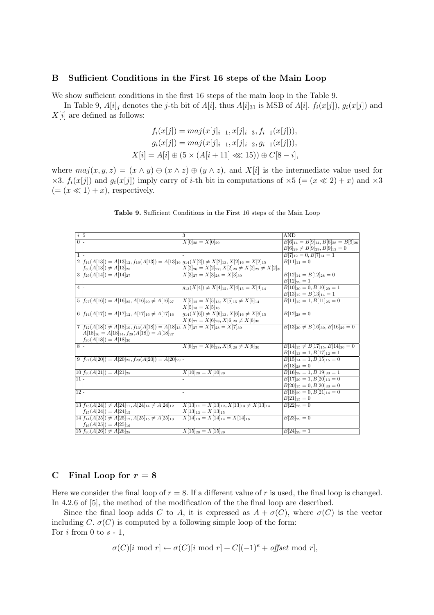# **B Sufficient Conditions in the First 16 steps of the Main Loop**

We show sufficient conditions in the first 16 steps of the main loop in the Table 9.

In Table 9,  $A[i]$ <sup>*j*</sup> denotes the *j*-th bit of  $A[i]$ , thus  $A[i]$ <sub>31</sub> is MSB of  $A[i]$ .  $f_i(x[j])$ ,  $g_i(x[j])$  and  $X[i]$  are defined as follows:

$$
f_i(x[j]) = maj(x[j]_{i-1}, x[j]_{i-3}, f_{i-1}(x[j])),
$$

$$
g_i(x[j]) = maj(x[j]_{i-1}, x[j]_{i-2}, g_{i-1}(x[j])),
$$

$$
X[i] = A[i] \oplus (5 \times (A[i+11] \ll 15)) \oplus C[8-i],
$$

where  $maj(x, y, z) = (x \wedge y) \oplus (x \wedge z) \oplus (y \wedge z)$ , and  $X[i]$  is the intermediate value used for *×*3. *f*<sub>*i*</sub>(*x*[*j*]) and *g*<sub>*i*</sub>(*x*[*j*]) imply carry of *i*-th bit in computations of  $\times$ 5 (= (*x*  $\ll$  2) + *x*) and  $\times$ 3  $(=(x \ll 1) + x)$ , respectively.

| $\frac{i}{0}$ =   |                                                                                                               | 3                                                                | AND                                            |
|-------------------|---------------------------------------------------------------------------------------------------------------|------------------------------------------------------------------|------------------------------------------------|
|                   |                                                                                                               | $X[0]_{28} = X[0]_{29}$                                          | $B[6]_{14} = B[9]_{14}, B[6]_{28} = B[9]_{28}$ |
|                   |                                                                                                               |                                                                  | $B[6]_{29} \neq B[9]_{29}, B[9]_{13} = 0$      |
| $\mathbf{1}$      |                                                                                                               |                                                                  | $B[7]_{12}=0, B[7]_{14}=1$                     |
|                   | $2 f_{14}(A[13]) = A[13]_{12}, f_{16}(A[13]) = A[13]_{16} g_{14}(X[2]) \neq X[2]_{13}, X[2]_{16} = X[2]_{15}$ |                                                                  | $B[11]_{11}=0$                                 |
|                   | $f_{30}(A[13]) \neq A[13]_{28}$                                                                               | $X[2]_{26} = X[2]_{27}, X[2]_{28} \neq X[2]_{29} \neq X[2]_{30}$ |                                                |
|                   | $3 f_{29}(A[14])=A[14]_{27}$                                                                                  | $X[3]_{27} = X[3]_{28} = X[3]_{30}$                              | $B[12]_{14} = B[12]_{28} = 0$                  |
|                   |                                                                                                               |                                                                  | $B[12]_{29}=1$                                 |
| $\overline{4}$    |                                                                                                               | $q_{13}(X[4]) \neq X[4]_{12}, X[4]_{15} = X[4]_{14}$             | $B[10]_{30} = 0, B[10]_{29} = 1$               |
|                   |                                                                                                               |                                                                  | $B[13]_{12} = B[13]_{14} = 1$                  |
|                   | $5 f_{27}(A[16]) = A[16]_{25}, A[16]_{29} \neq A[16]_{27}$                                                    | $X[5]_{12} = X[5]_{13}, X[5]_{15} \neq X[5]_{14}$                | $B[11]_{12} = 1, B[11]_{25} = 0$               |
|                   |                                                                                                               | $X[5]_{13} = X[5]_{16}$                                          |                                                |
|                   | $6   f_{14}(A[17]) = A[17]_{12}, A[17]_{16} \neq A[17]_{16}$                                                  | $g_{14}(X[6]) \neq X[6]_{13}, X[6]_{16} \neq X[6]_{15}$          | $B[12]_{28}=0$                                 |
|                   |                                                                                                               | $X[6]_{27} = X[6]_{28}, X[6]_{28} \neq X[6]_{30}$                |                                                |
|                   | $7 f_{12}(A[18]) \neq A[18]_{10}, f_{13}(A[18]) = A[18]_{13} X[7]_{27} = X[7]_{28} = X[7]_{30}$               |                                                                  | $B[13]_{30} \neq B[16]_{30}, B[16]_{29} = 0$   |
|                   | $A[18]_{16} = A[18]_{14}, f_{29}(A[18]) = A[18]_{27}$                                                         |                                                                  |                                                |
|                   | $f_{30}(A[18]) = A[18]_{30}$                                                                                  |                                                                  |                                                |
| $\overline{8}$    |                                                                                                               | $X[8]_{27} = X[8]_{28}, X[8]_{28} \neq X[8]_{30}$                | $B[14]_{15} \neq B[17]_{15}, B[14]_{30} = 0$   |
|                   |                                                                                                               |                                                                  | $B[14]_{13} = 1, B[17]_{12} = 1$               |
|                   | $9 f_{27}(A[20]) = A[20]_{25}, f_{29}(A[20]) = A[20]_{29}$                                                    |                                                                  | $B[15]_{14} = 1, B[15]_{15} = 0$               |
|                   |                                                                                                               |                                                                  | $B[18]_{28}=0$                                 |
|                   | $10 f_{30}(A[21]) = A[21]_{28}$                                                                               | $X[10]_{28} = X[10]_{29}$                                        | $B[16]_{28} = 1, B[19]_{30} = 1$               |
| $\overline{11}$   |                                                                                                               |                                                                  | $B[17]_{29} = 1, B[20]_{13} = 0$               |
|                   |                                                                                                               |                                                                  | $B[20]_{15}=0, B[20]_{30}=0$                   |
| $\overline{12}$ - |                                                                                                               |                                                                  | $B[18]_{29} = 0, B[21]_{14} = 0$               |
|                   |                                                                                                               |                                                                  | $B[21]_{15}=0$                                 |
|                   | $ 13 f_{13}(A 24 ) \neq A 24 _{11}, A 24 _{14} \neq A 24 _{12}$                                               | $X[13]_{11} = X[13]_{12}, X[13]_{13} \neq X[13]_{14}$            | $B[22]_{28}=0$                                 |
|                   | $f_{15}(A[24]) = A[24]_{15}$                                                                                  | $X[13]_{13} = X[13]_{15}$                                        |                                                |
|                   | $ 14 f_{14}(A[25]) \neq A[25]_{12}, A[25]_{15} \neq A[25]_{13}$                                               | $X[14]_{13} = X[14]_{14} = X[14]_{16}$                           | $B[23]_{29}=0$                                 |
|                   | $f_{16}(A[25]) = A[25]_{16}$                                                                                  |                                                                  |                                                |
|                   | $\left  15 \right  f_{30}(A[26]) \neq A[26]_{28}$                                                             | $X[15]_{28} = X[15]_{29}$                                        | $B[24]_{29}=1$                                 |

#### **Table 9.** Sufficient Conditions in the First 16 steps of the Main Loop

# **C** Final Loop for  $r = 8$

Here we consider the final loop of  $r = 8$ . If a different value of r is used, the final loop is changed. In 4.2.6 of [5], the method of the modification of the the final loop are described.

Since the final loop adds *C* to *A*, it is expressed as  $A + \sigma(C)$ , where  $\sigma(C)$  is the vector including *C*.  $\sigma(C)$  is computed by a following simple loop of the form: For *i* from 0 to *s* - 1,

$$
\sigma(C)[i \text{ mod } r] \leftarrow \sigma(C)[i \text{ mod } r] + C[(-1)^{e} + \text{offset} \text{ mod } r],
$$